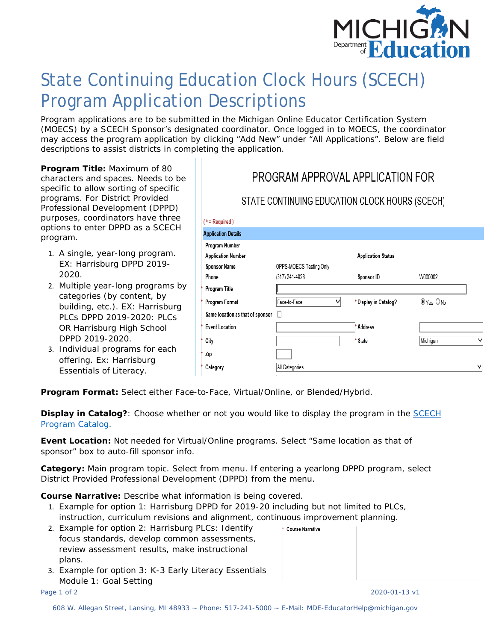

## State Continuing Education Clock Hours (SCECH) Program Application Descriptions

Program applications are to be submitted in the Michigan Online Educator Certification System (MOECS) by a SCECH Sponsor's designated coordinator. Once logged in to MOECS, the coordinator may access the program application by clicking "Add New" under "All Applications". Below are field descriptions to assist districts in completing the application.

**Program Title:** Maximum of 80 characters and spaces. Needs to be specific to allow sorting of specific programs. For District Provided Professional Development (DPPD) purposes, coordinators have three options to enter DPPD as a SCECH program.

- 1. A single, year-long program. EX: Harrisburg DPPD 2019- 2020.
- 2. Multiple year-long programs by categories (by content, by building, etc.). EX: Harrisburg PLCs DPPD 2019-2020: PLCs OR Harrisburg High School DPPD 2019-2020.
- 3. Individual programs for each offering. Ex: Harrisburg Essentials of Literacy.

## PROGRAM APPROVAL APPLICATION FOR

## STATE CONTINUING EDUCATION CLOCK HOURS (SCECH)

| <sup>*</sup> = Required )        |                         |                           |          |   |
|----------------------------------|-------------------------|---------------------------|----------|---|
| <b>Application Details</b>       |                         |                           |          |   |
| Program Number                   |                         |                           |          |   |
| <b>Application Number</b>        |                         | <b>Application Status</b> |          |   |
| <b>Sponsor Name</b>              | OPPS-MOECS Testing Only |                           |          |   |
| Phone                            | (517) 241-4928          | Sponsor ID                | W000002  |   |
| Program Title                    |                         |                           |          |   |
| Program Format                   | Face-to-Face<br>v       | * Display in Catalog?     | OYes ONo |   |
| Same location as that of sponsor | Ш                       |                           |          |   |
| <b>Event Location</b>            |                         | <b>Address</b>            |          |   |
| City                             |                         | * State                   | Michigan | v |
| Zip                              |                         |                           |          |   |
| Category                         | All Categories          |                           |          | v |
|                                  |                         |                           |          |   |

**Program Format:** Select either Face-to-Face, Virtual/Online, or Blended/Hybrid.

**Display in Catalog?**: Choose whether or not you would like to display the program in the **SCECH** [Program Catalog.](https://mdoe.state.mi.us/moecs/ProfessionalLearning/Reports/Catalog)

**Event Location:** Not needed for Virtual/Online programs. Select "Same location as that of sponsor" box to auto-fill sponsor info.

**Category:** Main program topic. Select from menu. If entering a yearlong DPPD program, select District Provided Professional Development (DPPD) from the menu.

\* Course Narrative

**Course Narrative:** Describe what information is being covered.

- 1. Example for option 1: Harrisburg DPPD for 2019-20 including but not limited to PLCs, instruction, curriculum revisions and alignment, continuous improvement planning.
- 2. Example for option 2: Harrisburg PLCs: Identify focus standards, develop common assessments, review assessment results, make instructional plans.
- 3. Example for option 3: K-3 Early Literacy Essentials Module 1: Goal Setting

Page 1 of 2 2020-01-13 v1